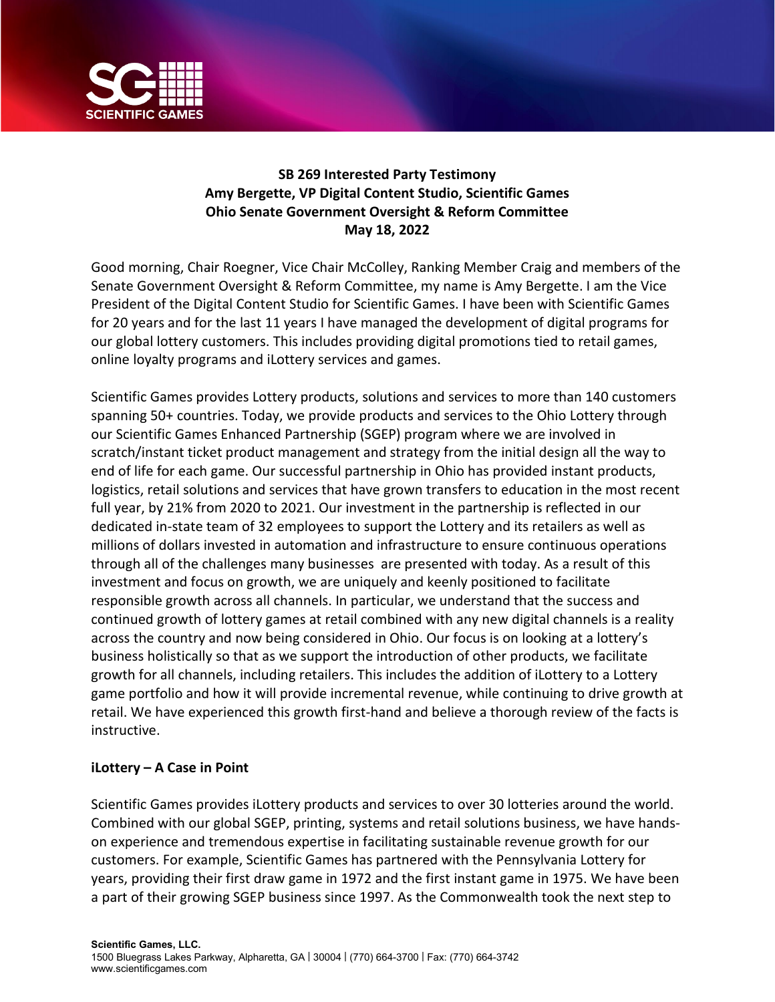

## **SB 269 Interested Party Testimony Amy Bergette, VP Digital Content Studio, Scientific Games Ohio Senate Government Oversight & Reform Committee May 18, 2022**

Good morning, Chair Roegner, Vice Chair McColley, Ranking Member Craig and members of the Senate Government Oversight & Reform Committee, my name is Amy Bergette. I am the Vice President of the Digital Content Studio for Scientific Games. I have been with Scientific Games for 20 years and for the last 11 years I have managed the development of digital programs for our global lottery customers. This includes providing digital promotions tied to retail games, online loyalty programs and iLottery services and games.

Scientific Games provides Lottery products, solutions and services to more than 140 customers spanning 50+ countries. Today, we provide products and services to the Ohio Lottery through our Scientific Games Enhanced Partnership (SGEP) program where we are involved in scratch/instant ticket product management and strategy from the initial design all the way to end of life for each game. Our successful partnership in Ohio has provided instant products, logistics, retail solutions and services that have grown transfers to education in the most recent full year, by 21% from 2020 to 2021. Our investment in the partnership is reflected in our dedicated in-state team of 32 employees to support the Lottery and its retailers as well as millions of dollars invested in automation and infrastructure to ensure continuous operations through all of the challenges many businesses are presented with today. As a result of this investment and focus on growth, we are uniquely and keenly positioned to facilitate responsible growth across all channels. In particular, we understand that the success and continued growth of lottery games at retail combined with any new digital channels is a reality across the country and now being considered in Ohio. Our focus is on looking at a lottery's business holistically so that as we support the introduction of other products, we facilitate growth for all channels, including retailers. This includes the addition of iLottery to a Lottery game portfolio and how it will provide incremental revenue, while continuing to drive growth at retail. We have experienced this growth first-hand and believe a thorough review of the facts is instructive.

## **iLottery – A Case in Point**

Scientific Games provides iLottery products and services to over 30 lotteries around the world. Combined with our global SGEP, printing, systems and retail solutions business, we have handson experience and tremendous expertise in facilitating sustainable revenue growth for our customers. For example, Scientific Games has partnered with the Pennsylvania Lottery for years, providing their first draw game in 1972 and the first instant game in 1975. We have been a part of their growing SGEP business since 1997. As the Commonwealth took the next step to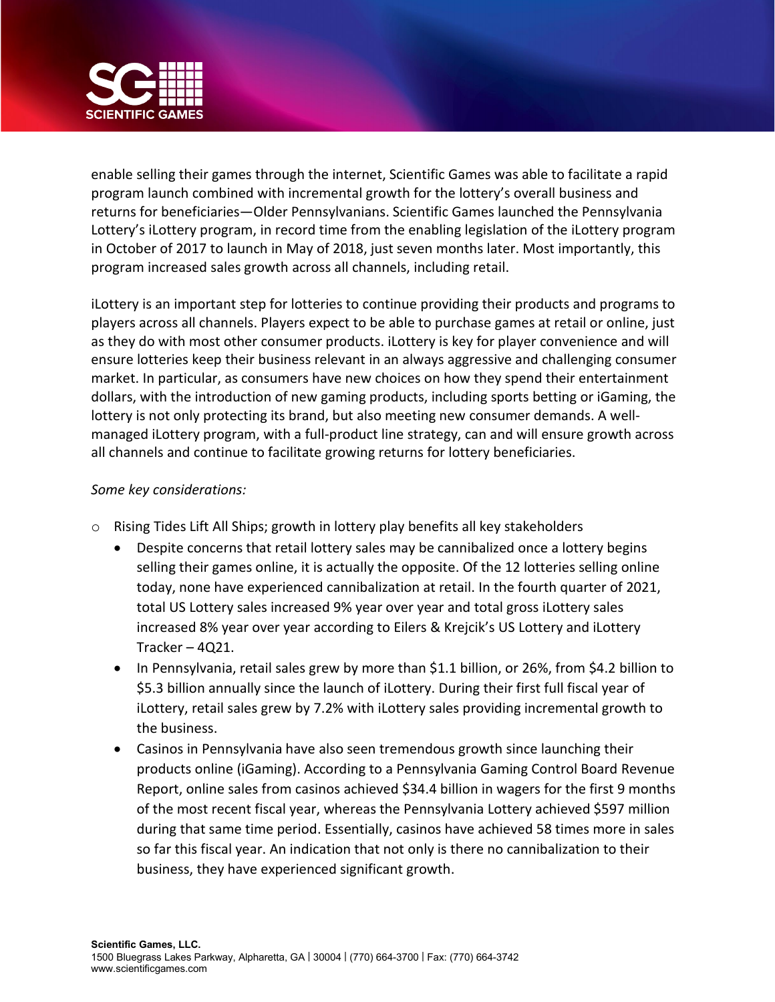

enable selling their games through the internet, Scientific Games was able to facilitate a rapid program launch combined with incremental growth for the lottery's overall business and returns for beneficiaries—Older Pennsylvanians. Scientific Games launched the Pennsylvania Lottery's iLottery program, in record time from the enabling legislation of the iLottery program in October of 2017 to launch in May of 2018, just seven months later. Most importantly, this program increased sales growth across all channels, including retail.

iLottery is an important step for lotteries to continue providing their products and programs to players across all channels. Players expect to be able to purchase games at retail or online, just as they do with most other consumer products. iLottery is key for player convenience and will ensure lotteries keep their business relevant in an always aggressive and challenging consumer market. In particular, as consumers have new choices on how they spend their entertainment dollars, with the introduction of new gaming products, including sports betting or iGaming, the lottery is not only protecting its brand, but also meeting new consumer demands. A wellmanaged iLottery program, with a full-product line strategy, can and will ensure growth across all channels and continue to facilitate growing returns for lottery beneficiaries.

## *Some key considerations:*

- o Rising Tides Lift All Ships; growth in lottery play benefits all key stakeholders
	- Despite concerns that retail lottery sales may be cannibalized once a lottery begins selling their games online, it is actually the opposite. Of the 12 lotteries selling online today, none have experienced cannibalization at retail. In the fourth quarter of 2021, total US Lottery sales increased 9% year over year and total gross iLottery sales increased 8% year over year according to Eilers & Krejcik's US Lottery and iLottery Tracker – 4Q21.
	- In Pennsylvania, retail sales grew by more than \$1.1 billion, or 26%, from \$4.2 billion to \$5.3 billion annually since the launch of iLottery. During their first full fiscal year of iLottery, retail sales grew by 7.2% with iLottery sales providing incremental growth to the business.
	- Casinos in Pennsylvania have also seen tremendous growth since launching their products online (iGaming). According to a Pennsylvania Gaming Control Board Revenue Report, online sales from casinos achieved \$34.4 billion in wagers for the first 9 months of the most recent fiscal year, whereas the Pennsylvania Lottery achieved \$597 million during that same time period. Essentially, casinos have achieved 58 times more in sales so far this fiscal year. An indication that not only is there no cannibalization to their business, they have experienced significant growth.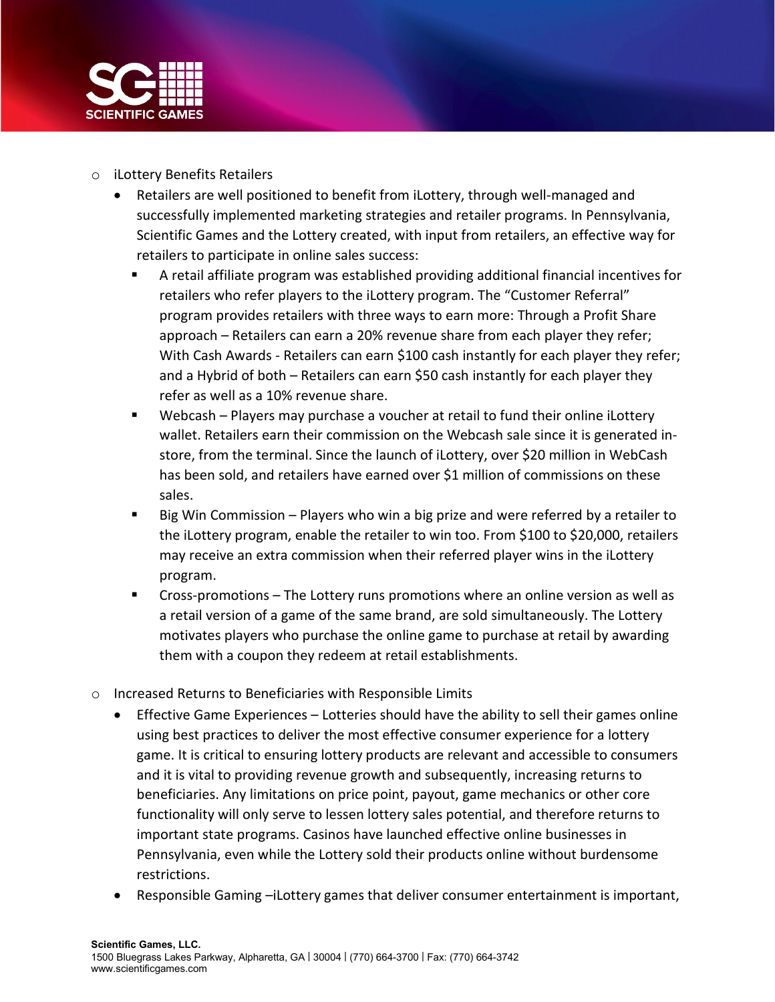

- o iLottery Benefits Retailers
	- Retailers are well positioned to benefit from iLottery, through well-managed and successfully implemented marketing strategies and retailer programs. In Pennsylvania, Scientific Games and the Lottery created, with input from retailers, an effective way for retailers to participate in online sales success:
		- A retail affiliate program was established providing additional financial incentives for retailers who refer players to the iLottery program. The "Customer Referral" program provides retailers with three ways to earn more: Through a Profit Share approach – Retailers can earn a 20% revenue share from each player they refer; With Cash Awards - Retailers can earn \$100 cash instantly for each player they refer; and a Hybrid of both – Retailers can earn \$50 cash instantly for each player they refer as well as a 10% revenue share.
		- Webcash Players may purchase a voucher at retail to fund their online iLottery wallet. Retailers earn their commission on the Webcash sale since it is generated instore, from the terminal. Since the launch of iLottery, over \$20 million in WebCash has been sold, and retailers have earned over \$1 million of commissions on these sales.
		- Big Win Commission Players who win a big prize and were referred by a retailer to the iLottery program, enable the retailer to win too. From \$100 to \$20,000, retailers may receive an extra commission when their referred player wins in the iLottery program.
		- Cross-promotions The Lottery runs promotions where an online version as well as a retail version of a game of the same brand, are sold simultaneously. The Lottery motivates players who purchase the online game to purchase at retail by awarding them with a coupon they redeem at retail establishments.
- o Increased Returns to Beneficiaries with Responsible Limits
	- Effective Game Experiences Lotteries should have the ability to sell their games online using best practices to deliver the most effective consumer experience for a lottery game. It is critical to ensuring lottery products are relevant and accessible to consumers and it is vital to providing revenue growth and subsequently, increasing returns to beneficiaries. Any limitations on price point, payout, game mechanics or other core functionality will only serve to lessen lottery sales potential, and therefore returns to important state programs. Casinos have launched effective online businesses in Pennsylvania, even while the Lottery sold their products online without burdensome restrictions.
	- Responsible Gaming –iLottery games that deliver consumer entertainment is important,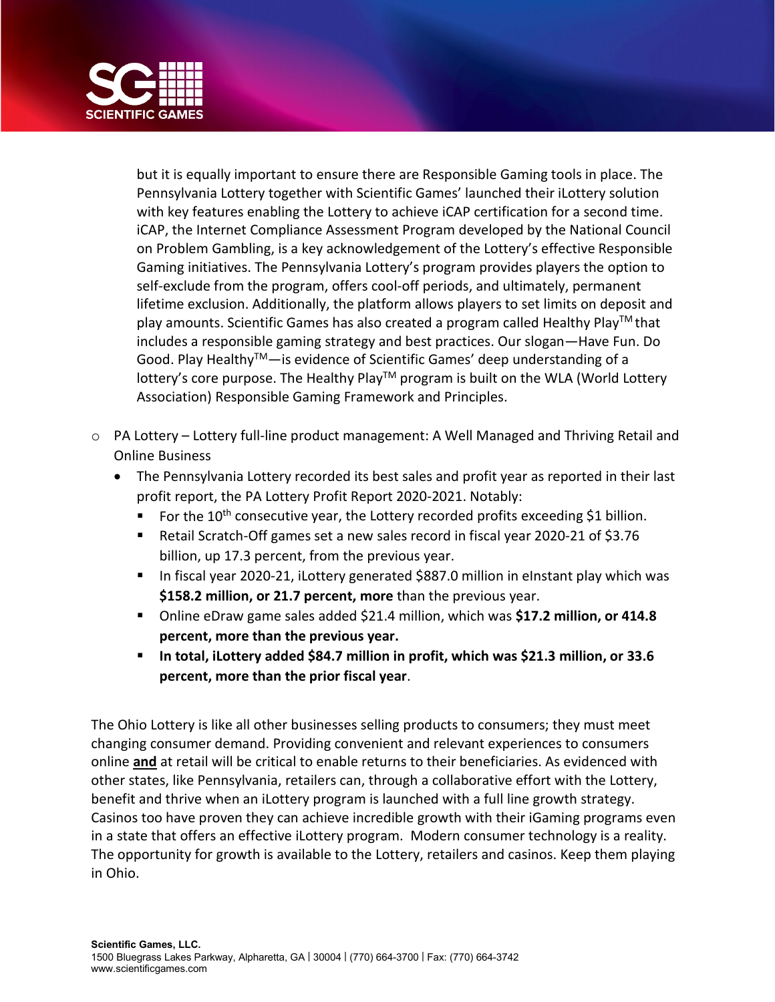

but it is equally important to ensure there are Responsible Gaming tools in place. The Pennsylvania Lottery together with Scientific Games' launched their iLottery solution with key features enabling the Lottery to achieve iCAP certification for a second time. iCAP, the Internet Compliance Assessment Program developed by the National Council on Problem Gambling, is a key acknowledgement of the Lottery's effective Responsible Gaming initiatives. The Pennsylvania Lottery's program provides players the option to self-exclude from the program, offers cool-off periods, and ultimately, permanent lifetime exclusion. Additionally, the platform allows players to set limits on deposit and play amounts. Scientific Games has also created a program called Healthy Play<sup>TM</sup> that includes a responsible gaming strategy and best practices. Our slogan—Have Fun. Do Good. Play Healthy<sup>TM</sup>—is evidence of Scientific Games' deep understanding of a lottery's core purpose. The Healthy Play<sup>TM</sup> program is built on the WLA (World Lottery Association) Responsible Gaming Framework and Principles.

- o PA Lottery Lottery full-line product management: A Well Managed and Thriving Retail and Online Business
	- The Pennsylvania Lottery recorded its best sales and profit year as reported in their last profit report, the PA Lottery Profit Report 2020-2021. Notably:
		- For the  $10^{th}$  consecutive year, the Lottery recorded profits exceeding \$1 billion.
		- Retail Scratch-Off games set a new sales record in fiscal year 2020-21 of \$3.76 billion, up 17.3 percent, from the previous year.
		- In fiscal year 2020-21, iLottery generated \$887.0 million in eInstant play which was **\$158.2 million, or 21.7 percent, more** than the previous year.
		- Online eDraw game sales added \$21.4 million, which was **\$17.2 million, or 414.8 percent, more than the previous year.**
		- **In total, iLottery added \$84.7 million in profit, which was \$21.3 million, or 33.6 percent, more than the prior fiscal year**.

The Ohio Lottery is like all other businesses selling products to consumers; they must meet changing consumer demand. Providing convenient and relevant experiences to consumers online **and** at retail will be critical to enable returns to their beneficiaries. As evidenced with other states, like Pennsylvania, retailers can, through a collaborative effort with the Lottery, benefit and thrive when an iLottery program is launched with a full line growth strategy. Casinos too have proven they can achieve incredible growth with their iGaming programs even in a state that offers an effective iLottery program. Modern consumer technology is a reality. The opportunity for growth is available to the Lottery, retailers and casinos. Keep them playing in Ohio.